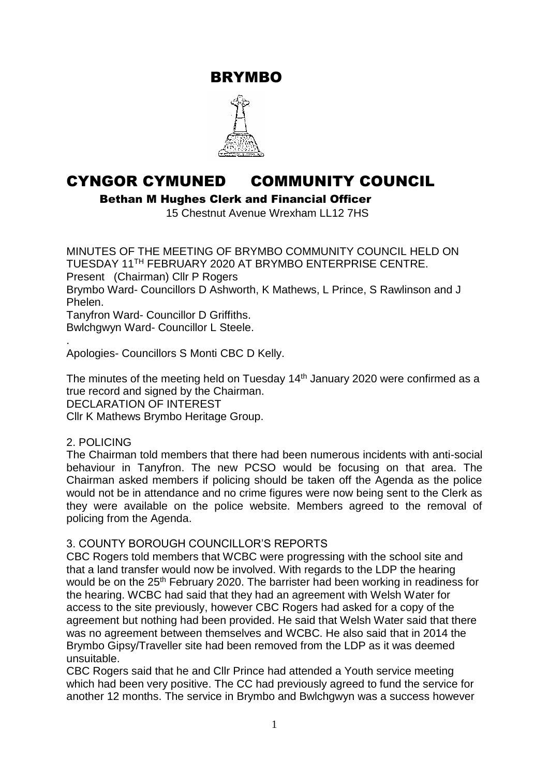BRYMBO



# CYNGOR CYMUNED COMMUNITY COUNCIL

Bethan M Hughes Clerk and Financial Officer

15 Chestnut Avenue Wrexham LL12 7HS

MINUTES OF THE MEETING OF BRYMBO COMMUNITY COUNCIL HELD ON TUESDAY 11TH FEBRUARY 2020 AT BRYMBO ENTERPRISE CENTRE. Present (Chairman) Cllr P Rogers Brymbo Ward- Councillors D Ashworth, K Mathews, L Prince, S Rawlinson and J Phelen. Tanyfron Ward- Councillor D Griffiths. Bwlchgwyn Ward- Councillor L Steele. .

Apologies- Councillors S Monti CBC D Kelly.

The minutes of the meeting held on Tuesday 14<sup>th</sup> January 2020 were confirmed as a true record and signed by the Chairman. DECLARATION OF INTEREST

Cllr K Mathews Brymbo Heritage Group.

# 2. POLICING

The Chairman told members that there had been numerous incidents with anti-social behaviour in Tanyfron. The new PCSO would be focusing on that area. The Chairman asked members if policing should be taken off the Agenda as the police would not be in attendance and no crime figures were now being sent to the Clerk as they were available on the police website. Members agreed to the removal of policing from the Agenda.

## 3. COUNTY BOROUGH COUNCILLOR'S REPORTS

CBC Rogers told members that WCBC were progressing with the school site and that a land transfer would now be involved. With regards to the LDP the hearing would be on the 25<sup>th</sup> February 2020. The barrister had been working in readiness for the hearing. WCBC had said that they had an agreement with Welsh Water for access to the site previously, however CBC Rogers had asked for a copy of the agreement but nothing had been provided. He said that Welsh Water said that there was no agreement between themselves and WCBC. He also said that in 2014 the Brymbo Gipsy/Traveller site had been removed from the LDP as it was deemed unsuitable.

CBC Rogers said that he and Cllr Prince had attended a Youth service meeting which had been very positive. The CC had previously agreed to fund the service for another 12 months. The service in Brymbo and Bwlchgwyn was a success however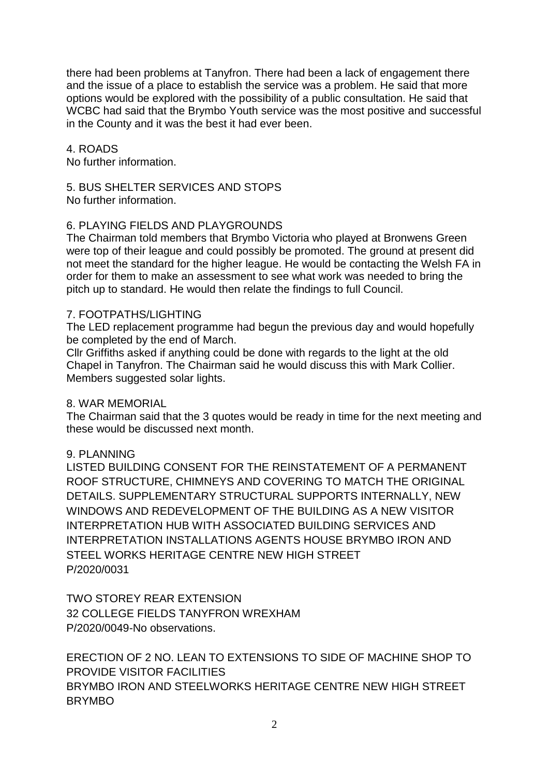there had been problems at Tanyfron. There had been a lack of engagement there and the issue of a place to establish the service was a problem. He said that more options would be explored with the possibility of a public consultation. He said that WCBC had said that the Brymbo Youth service was the most positive and successful in the County and it was the best it had ever been.

## 4. ROADS

No further information.

5. BUS SHELTER SERVICES AND STOPS No further information.

## 6. PLAYING FIELDS AND PLAYGROUNDS

The Chairman told members that Brymbo Victoria who played at Bronwens Green were top of their league and could possibly be promoted. The ground at present did not meet the standard for the higher league. He would be contacting the Welsh FA in order for them to make an assessment to see what work was needed to bring the pitch up to standard. He would then relate the findings to full Council.

#### 7. FOOTPATHS/LIGHTING

The LED replacement programme had begun the previous day and would hopefully be completed by the end of March.

Cllr Griffiths asked if anything could be done with regards to the light at the old Chapel in Tanyfron. The Chairman said he would discuss this with Mark Collier. Members suggested solar lights.

## 8. WAR MEMORIAL

The Chairman said that the 3 quotes would be ready in time for the next meeting and these would be discussed next month.

## 9. PLANNING

LISTED BUILDING CONSENT FOR THE REINSTATEMENT OF A PERMANENT ROOF STRUCTURE, CHIMNEYS AND COVERING TO MATCH THE ORIGINAL DETAILS. SUPPLEMENTARY STRUCTURAL SUPPORTS INTERNALLY, NEW WINDOWS AND REDEVELOPMENT OF THE BUILDING AS A NEW VISITOR INTERPRETATION HUB WITH ASSOCIATED BUILDING SERVICES AND INTERPRETATION INSTALLATIONS AGENTS HOUSE BRYMBO IRON AND STEEL WORKS HERITAGE CENTRE NEW HIGH STREET P/2020/0031

TWO STOREY REAR EXTENSION 32 COLLEGE FIELDS TANYFRON WREXHAM P/2020/0049-No observations.

ERECTION OF 2 NO. LEAN TO EXTENSIONS TO SIDE OF MACHINE SHOP TO PROVIDE VISITOR FACILITIES BRYMBO IRON AND STEELWORKS HERITAGE CENTRE NEW HIGH STREET **BRYMBO**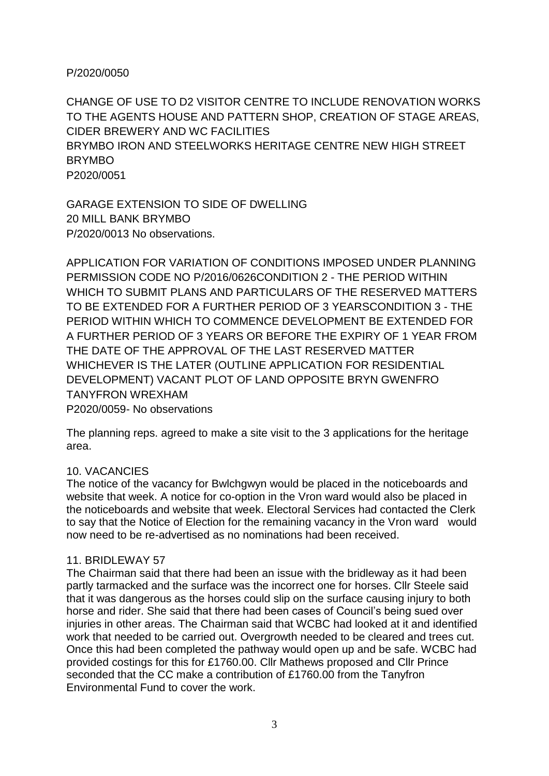P/2020/0050

CHANGE OF USE TO D2 VISITOR CENTRE TO INCLUDE RENOVATION WORKS TO THE AGENTS HOUSE AND PATTERN SHOP, CREATION OF STAGE AREAS, CIDER BREWERY AND WC FACILITIES BRYMBO IRON AND STEELWORKS HERITAGE CENTRE NEW HIGH STREET **BRYMBO** P2020/0051

GARAGE EXTENSION TO SIDE OF DWELLING 20 MILL BANK BRYMBO P/2020/0013 No observations.

APPLICATION FOR VARIATION OF CONDITIONS IMPOSED UNDER PLANNING PERMISSION CODE NO P/2016/0626CONDITION 2 - THE PERIOD WITHIN WHICH TO SUBMIT PLANS AND PARTICULARS OF THE RESERVED MATTERS TO BE EXTENDED FOR A FURTHER PERIOD OF 3 YEARSCONDITION 3 - THE PERIOD WITHIN WHICH TO COMMENCE DEVELOPMENT BE EXTENDED FOR A FURTHER PERIOD OF 3 YEARS OR BEFORE THE EXPIRY OF 1 YEAR FROM THE DATE OF THE APPROVAL OF THE LAST RESERVED MATTER WHICHEVER IS THE LATER (OUTLINE APPLICATION FOR RESIDENTIAL DEVELOPMENT) VACANT PLOT OF LAND OPPOSITE BRYN GWENFRO TANYFRON WREXHAM P2020/0059- No observations

The planning reps. agreed to make a site visit to the 3 applications for the heritage area.

## 10. VACANCIES

The notice of the vacancy for Bwlchgwyn would be placed in the noticeboards and website that week. A notice for co-option in the Vron ward would also be placed in the noticeboards and website that week. Electoral Services had contacted the Clerk to say that the Notice of Election for the remaining vacancy in the Vron ward would now need to be re-advertised as no nominations had been received.

## 11. BRIDLEWAY 57

The Chairman said that there had been an issue with the bridleway as it had been partly tarmacked and the surface was the incorrect one for horses. Cllr Steele said that it was dangerous as the horses could slip on the surface causing injury to both horse and rider. She said that there had been cases of Council's being sued over injuries in other areas. The Chairman said that WCBC had looked at it and identified work that needed to be carried out. Overgrowth needed to be cleared and trees cut. Once this had been completed the pathway would open up and be safe. WCBC had provided costings for this for £1760.00. Cllr Mathews proposed and Cllr Prince seconded that the CC make a contribution of £1760.00 from the Tanyfron Environmental Fund to cover the work.